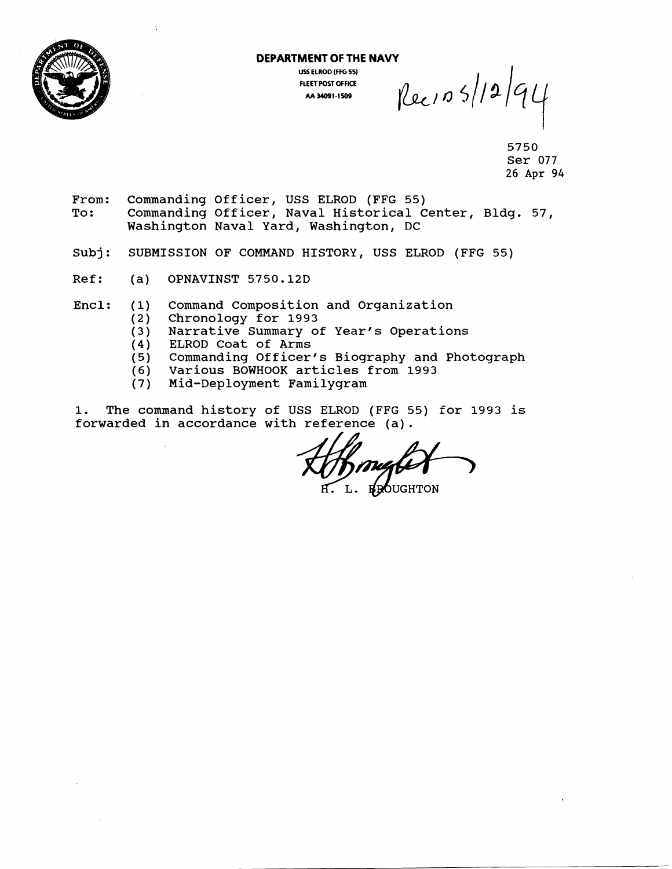

## **DEPARTMENT OF THE NAVY FLEET POST OFFICE M 34091.1509**

USS ELROD (FFG 55)<br> **PLEET POST OFFICE**<br>
AA 34091-1509<br>  $\left| \left( \begin{array}{c} 2 \\ 4 \end{array} \right| 5 \right| 3 \right| 4$ 

5750 Ser 077 26 Apr *94* 

- From: Commanding Officer, USS ELROD (FFG 55)<br>To: Commanding Officer, Naval Historical C Commanding Officer, Naval Historical Center, Bldg. 57, Washington Naval Yard, Washington, DC
- Subj: SUBMISSION OF COMMAND HISTORY, USS ELROD (FFG 55)
- Ref: (a) OPNAVINST 5750.12D
- Encl: (1) Command Composition and Organization (2) Chronology for 1993
	- (2) Chronology for 1993
	- (3) Narrative Summary of Year's Operations (3) Narrative Summary (4) ELROD Coat of Arms<br>(5) Commanding Officer
	-
	- Commanding Officer's Biography and Photograph
	- (6) Various BOWHOOK articles from 1993
	- Mid-Deployment Familygram

1. The command history of USS ELROD (FFG **55)** for 1993 is forwarded in accordance with reference (a).

**REQUGHTON**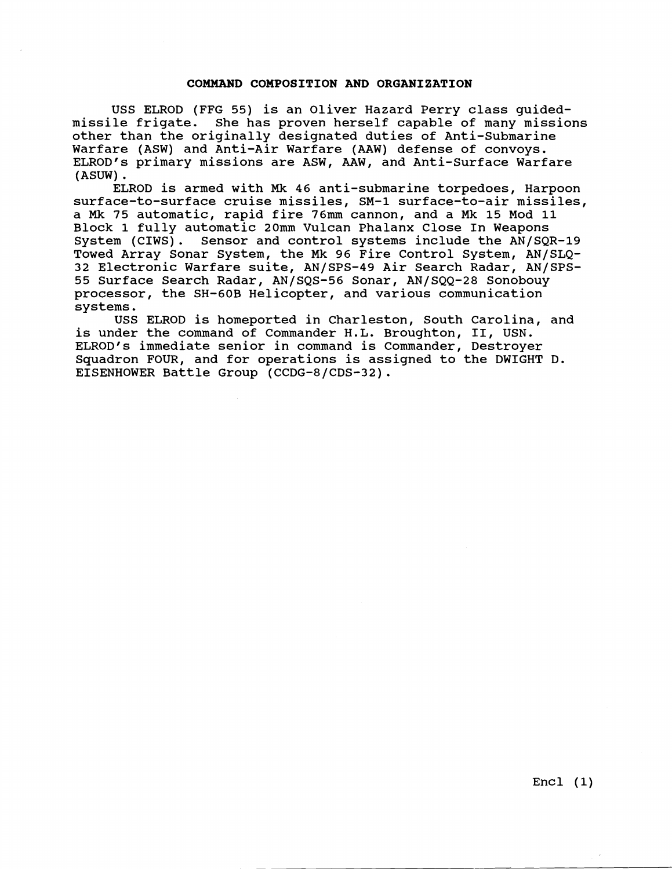### **COMMAND COMPOSITION AND ORGANIZATION**

USS ELROD (FFG 55) is an Oliver Hazard Perry class guidedmissile frigate. She has proven herself capable of many missions other than the originally designated duties of Anti-Submarine Warfare (ASW) and Anti-Air Warfare (AAW) defense of convoys. ELROD'S primary missions are ASW, AAW, and Anti-surface Warfare (ASUW) .

ELROD is armed with Mk 46 anti-submarine torpedoes, Harpoon surface-to-surface cruise missiles, SM-1 surface-to-air missiles, a Mk 75 automatic, rapid fire 76mm cannon, and a Mk 15 Mod 11 Block 1 fully automatic 20mm Vulcan Phalanx Close In Weapons System (CIWS). Sensor and control systems include the AN/SQR-19 Towed Array Sonar System, the Mk 96 Fire Control System, AN/SLQ-32 Electronic Warfare suite, AN/SPS-49 Air Search Radar, AN/SPS-55 Surface Search Radar, AN/SQS-56 Sonar, AN/SQQ-28 Sonobouy processor, the SH-GOB Helicopter, and various communication systems.

USS ELROD is homeported in Charleston, South Carolina, and is under the command of Commander H.L. Broughton, 11, USN. ELROD's immediate senior in command is Commander, Destroyer Squadron FOUR, and for operations is assigned to the DWIGHT D. EISENHOWER Battle Group (CCDG-8/CDS-32).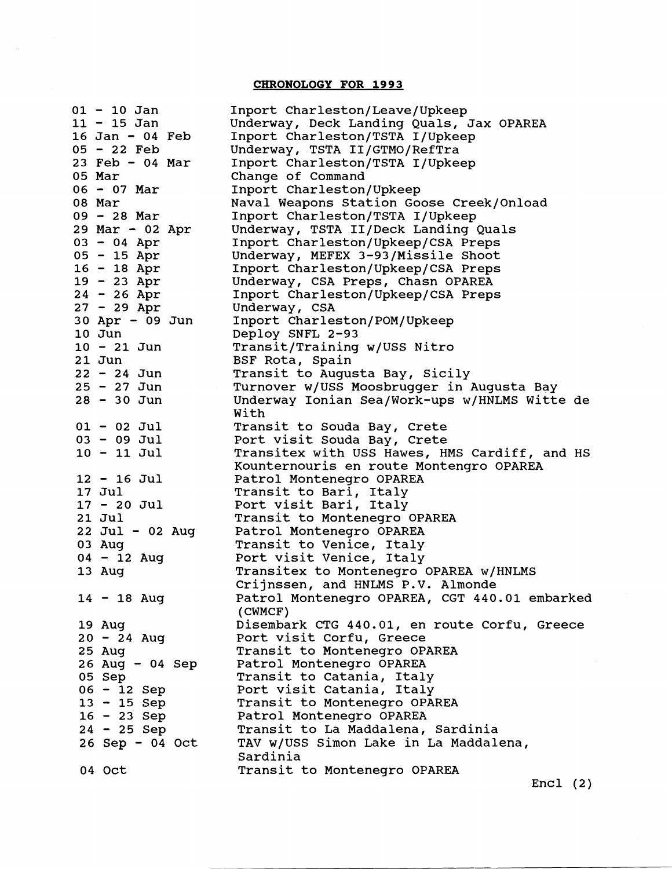## **CHRONOLOGY FOR 1993**

 $\sim$ 

|        | $01 - 10$ Jan     | Inport Charleston/Leave/Upkeep                |
|--------|-------------------|-----------------------------------------------|
|        | $11 - 15$ Jan     | Underway, Deck Landing Quals, Jax OPAREA      |
|        | 16 Jan - 04 Feb   | Inport Charleston/TSTA I/Upkeep               |
|        | $05 - 22$ Feb     | Underway, TSTA II/GTMO/RefTra                 |
|        | $23$ Feb - 04 Mar | Inport Charleston/TSTA I/Upkeep               |
| 05 Mar |                   | Change of Command                             |
|        | $06 - 07$ Mar     | Inport Charleston/Upkeep                      |
| 08 Mar |                   | Naval Weapons Station Goose Creek/Onload      |
|        | $09 - 28$ Mar     | Inport Charleston/TSTA I/Upkeep               |
|        | 29 Mar - 02 Apr   | Underway, TSTA II/Deck Landing Quals          |
|        | $03 - 04$ Apr     | Inport Charleston/Upkeep/CSA Preps            |
|        | $05 - 15$ Apr     | Underway, MEFEX 3-93/Missile Shoot            |
|        | $16 - 18$ Apr     | Inport Charleston/Upkeep/CSA Preps            |
|        | $19 - 23$ Apr     | Underway, CSA Preps, Chasn OPAREA             |
|        | $24 - 26$ Apr     | Inport Charleston/Upkeep/CSA Preps            |
|        | $27 - 29$ Apr     | Underway, CSA                                 |
|        | 30 Apr - 09 Jun   | Inport Charleston/POM/Upkeep                  |
|        | 10 Jun            | Deploy SNFL 2-93                              |
|        | $10 - 21$ Jun     | Transit/Training w/USS Nitro                  |
|        | $21$ Jun          | BSF Rota, Spain                               |
|        | $22 - 24$ Jun     | Transit to Augusta Bay, Sicily                |
|        | $25 - 27$ Jun     | Turnover w/USS Moosbrugger in Augusta Bay     |
|        | $28 - 30$ Jun     | Underway Ionian Sea/Work-ups w/HNLMS Witte de |
|        |                   | With                                          |
|        | $01 - 02$ Jul     | Transit to Souda Bay, Crete                   |
|        | $03 - 09$ Jul     | Port visit Souda Bay, Crete                   |
|        | $10 - 11$ Jul     | Transitex with USS Hawes, HMS Cardiff, and HS |
|        |                   | Kounternouris en route Montengro OPAREA       |
|        | 12 - 16 Jul       | Patrol Montenegro OPAREA                      |
|        | 17 Jul            | Transit to Bari, Italy                        |
|        | $17 - 20$ Jul     | Port visit Bari, Italy                        |
|        | 21 Jul            | Transit to Montenegro OPAREA                  |
|        | $22$ Jul - 02 Aug | Patrol Montenegro OPAREA                      |
|        | 03 Aug            | Transit to Venice, Italy                      |
|        | $04 - 12$ Aug     | Port visit Venice, Italy                      |
|        | 13 Aug            | Transitex to Montenegro OPAREA W/HNLMS        |
|        |                   | Crijnssen, and HNLMS P.V. Almonde             |
|        | $14 - 18$ Aug     | Patrol Montenegro OPAREA, CGT 440.01 embarked |
|        |                   | (CWMCF)                                       |
|        | 19 Aug            | Disembark CTG 440.01, en route Corfu, Greece  |
|        | $20 - 24$ Aug     | Port visit Corfu, Greece                      |
|        | 25 Aug            | Transit to Montenegro OPAREA                  |
|        | $26$ Aug - 04 Sep | Patrol Montenegro OPAREA                      |
|        | 05 Sep            | Transit to Catania, Italy                     |
|        | $06 - 12$ Sep     | Port visit Catania, Italy                     |
|        | 13 - 15 Sep       | Transit to Montenegro OPAREA                  |
|        | 16 - 23 Sep       | Patrol Montenegro OPAREA                      |
|        | $24 - 25$ Sep     | Transit to La Maddalena, Sardinia             |
|        | $26$ Sep - 04 Oct | TAV w/USS Simon Lake in La Maddalena,         |
|        |                   | Sardinia                                      |
|        | 04 Oct            | Transit to Montenegro OPAREA                  |
|        |                   |                                               |

Encl (2)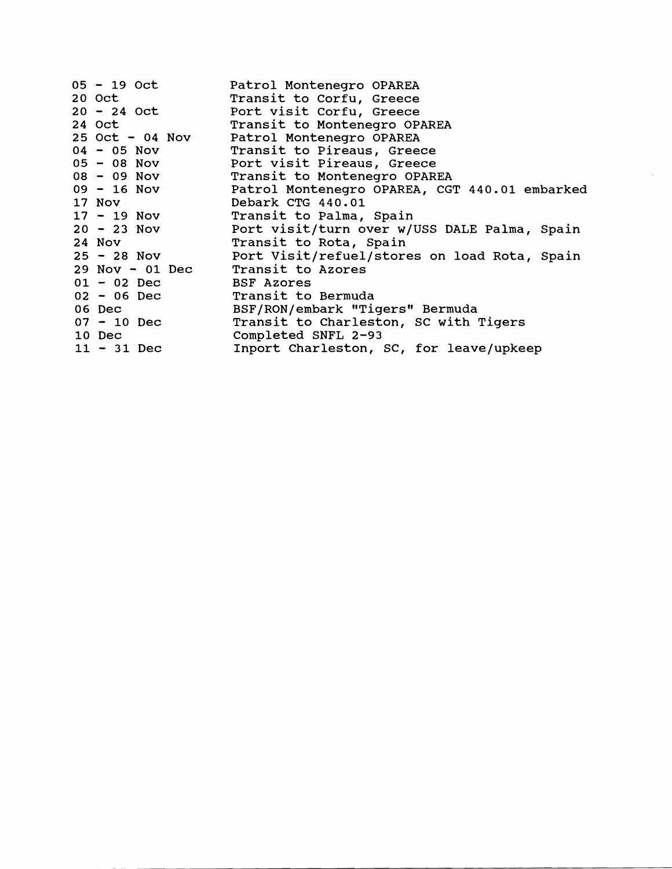| 05 - 19 Oct                       | Patrol Montenegro OPAREA                                      |
|-----------------------------------|---------------------------------------------------------------|
| 20 Oct                            | Transit to Corfu, Greece                                      |
| $20 - 24$ Oct                     | Port visit Corfu, Greece                                      |
| 24 Oct                            | Transit to Montenegro OPAREA                                  |
| 25 Oct - 04 Nov                   | Patrol Montenegro OPAREA                                      |
| $04 - 05$ Nov                     | Transit to Pireaus, Greece                                    |
| $05 - 08$ Nov                     | Port visit Pireaus, Greece                                    |
| $08 - 09$ Nov                     | Transit to Montenegro OPAREA                                  |
|                                   | 09 - 16 Nov     Patrol Montenegro OPAREA, CGT 440.01 embarked |
| 17 Nov                            | Debark CTG 440.01                                             |
| $17 - 19$ Nov                     | Transit to Palma, Spain                                       |
| $20 - 23$ Nov                     | Port visit/turn over w/USS DALE Palma, Spain                  |
| 24 Nov                            | Transit to Rota, Spain                                        |
|                                   | 25 - 28 Nov Port Visit/refuel/stores on load Rota, Spain      |
| 29 Nov - 01 Dec Transit to Azores |                                                               |
| $01 - 02$ Dec                     | BSF Azores                                                    |
| 02 - 06 Dec Transit to Bermuda    |                                                               |
| 06 Dec                            | BSF/RON/embark "Tigers" Bermuda                               |
| $07 - 10$ Dec                     | Transit to Charleston, SC with Tigers                         |
| 10 Dec                            | Completed SNFL 2-93                                           |
| $11 - 31$ Dec                     | Inport Charleston, SC, for leave/upkeep                       |

 $\bar{z}$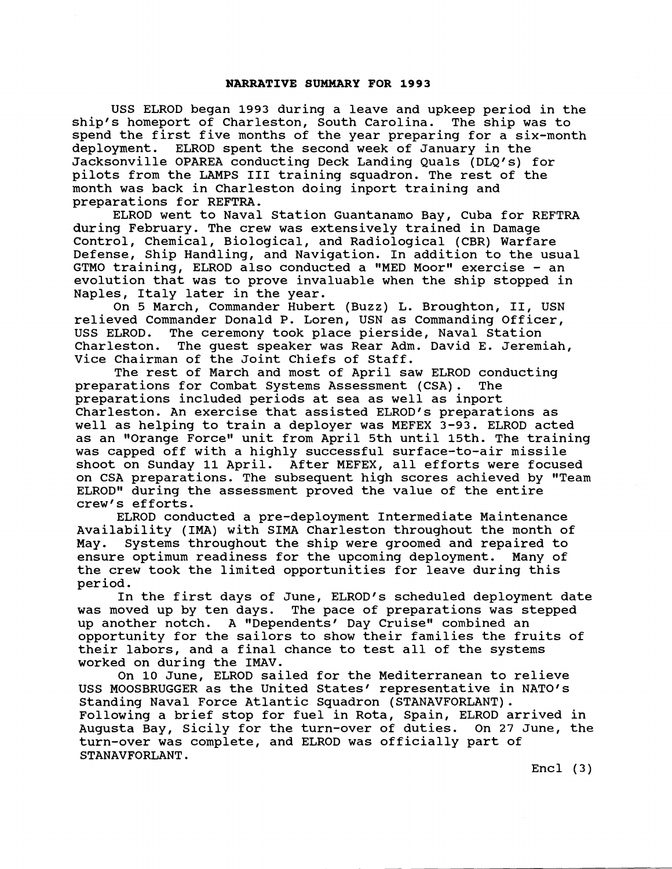#### **NARRATIVE SUMMARY FOR 1993**

USS ELROD began 1993 during a leave and upkeep period in the s homeport of Charleston, South Carolina. The ship was to ship's homeport of Charleston, South Carolina. spend the first five months of the year preparing for a six-month deployment. ELROD spent the second week of January in the Jacksonville OPAREA conducting Deck Landing Quals (DLQ's) for pilots from the LAMPS I11 training squadron. The rest of the month was back in Charleston doing inport training and preparations for REFTRA.

ELROD went to Naval Station Guantanamo Bay, Cuba for REFTRA during February. The crew was extensively trained in Damage Control, Chemical, Biological, and Radiological (CBR) Warfare Defense, Ship Handling, and Navigation. In addition to the usual GTMO training, ELROD also conducted a "MED Moor" exercise - an evolution that was to prove invaluable when the ship stopped in Naples, Italy later in the year.

On 5 March, Commander Hubert (Buzz) L. Broughton, 11, USN relieved Commander Donald P. Loren, USN as Commanding Officer,<br>USS ELROD. The ceremony took place pierside, Naval Station The ceremony took place pierside, Naval Station Charleston. The guest speaker was Rear Adm. David E. Jeremiah, Vice Chairman of the Joint Chiefs of Staff.

The rest of March and most of April saw ELROD conducting preparations for Combat Systems Assessment (CSA). The preparations included periods at sea as well as inport Charleston. An exercise that assisted ELROD's preparations as well as helping to train a deployer was MEFEX 3-93. ELROD acted as an "Orange Force" unit from April 5th until 15th. The training was capped off with a highly successful surface-to-air missile shoot on Sunday 11 April. After MEFEX, all efforts were focused on CSA preparations. The subsequent high scores achieved by "Team ELROD" during the assessment proved the value of the entire crew's efforts.

ELROD conducted a pre-deployment Intermediate Maintenance Availability (IMA) with SIMA Charleston throughout the month of May. Systems throughout the ship were groomed and repaired to ensure optimum readiness for the upcoming deployment. Many of the crew took the limited opportunities for leave during this period.

In the first days of June, ELROD's scheduled deployment date<br>was moved up by ten days. The pace of preparations was stepped The pace of preparations was stepped up another notch. A "Dependents' Day Cruise" combined an opportunity for the sailors to show their families the fruits of their labors, and a final chance to test all of the systems worked on during the IMAV.

On 10 June, ELROD sailed for the Mediterranean to relieve USS MOOSBRUGGER as the United States' representative in NATO's Standing Naval Force Atlantic Squadron (STANAVFORLANT). Following a brief stop for fuel in Rota, Spain, ELROD arrived in Augusta Bay, Sicily for the turn-over of duties. On 27 June, the turn-over was complete, and ELROD was officially part of STANAVFORLANT.

 $Encl$  (3)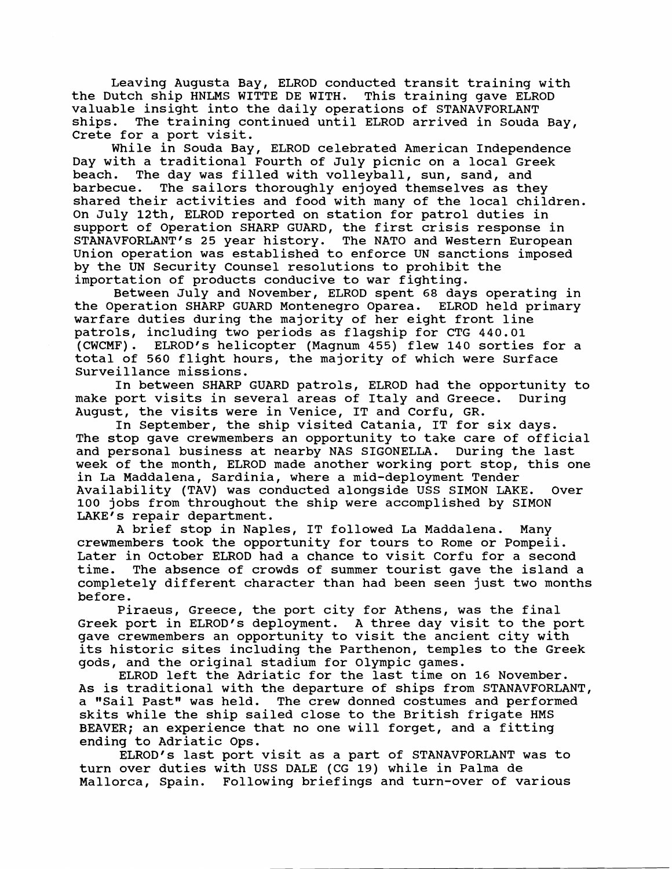Leaving Augusta Bay, ELROD conducted transit training with<br>)utch ship HNLMS WITTE DE WITH. This training gave ELROD the Dutch ship HNLMS WITTE DE WITH. valuable insight into the daily operations of STANAVFORLANT ships. The training continued until ELROD arrived in Souda Bay, Crete for a port visit.

While in Souda Bay, ELROD celebrated American Independence Day with a traditional Fourth of July picnic on a local Greek beach. The day was filled with volleyball, sun, sand, and barbecue. The sailors thoroughly enjoyed themselves as they shared their activities and food with many of the local children. On July 12th, ELROD reported on station for patrol duties in support of Operation SHARP GUARD, the first crisis response in STANAVFORLANT's 25 year history. The NATO and Western European Union operation was established to enforce UN sanctions imposed by the **UN** Security Counsel resolutions to prohibit the importation of products conducive to war fighting.

Between July and November, ELROD spent 68 days operating in the Operation SHARP GUARD Montenegro Oparea. ELROD held primary warfare duties during the majority of her eight front line patrols, including two periods as flagship for CTG **440.01**  (CWCMF). ELROD1s helicopter (Magnum **455)** flew **140** sorties for a total of **560** flight hours, the majority of which were Surface Surveillance missions.

In between SHARP GUARD patrols, ELROD had the opportunity to port visits in several areas of Italy and Greece. During make port visits in several areas of Italy and Greece. August, the visits were in Venice, IT and Corfu, GR.

In September, the ship visited Catania, IT for six days. The stop gave crewmembers an opportunity to take care of official and personal business at nearby NAS SIGONELLA. During the last week of the month, ELROD made another working port stop, this one in La Maddalena, Sardinia, where a mid-deployment Tender Availability (TAV) was conducted alongside USS SIMON LAKE. Over 100 jobs from throughout the ship were accomplished by SIMON LAKE's repair department.

A brief stop in Naples, IT followed La Maddalena. Many crewmembers took the opportunity for tours to Rome or Pompeii. Later in October ELROD had a chance to visit Corfu for a second time. The absence of crowds of summer tourist gave the island a completely different character than had been seen just two months before.

Piraeus, Greece, the port city for Athens, was the final Greek port in ELROD's deployment. A three day visit to the port gave crewmembers an opportunity to visit the ancient city with its historic sites including the Parthenon, temples to the Greek gods, and the original stadium for Olympic games.

ELROD left the Adriatic for the last time on 16 November. As is traditional with the departure of ships from STANAVFORLANT, a "Sail Past" was held. The crew donned costumes and performed skits while the ship sailed close to the British frigate HMS BEAVER; an experience that no one will forget, and a fitting ending to Adriatic Ops.

ELROD's last port visit as a part of STANAVFORLANT was to turn over duties with USS DALE (CG 19) while in Palma de Mallorca, Spain. Following briefings and turn-over of various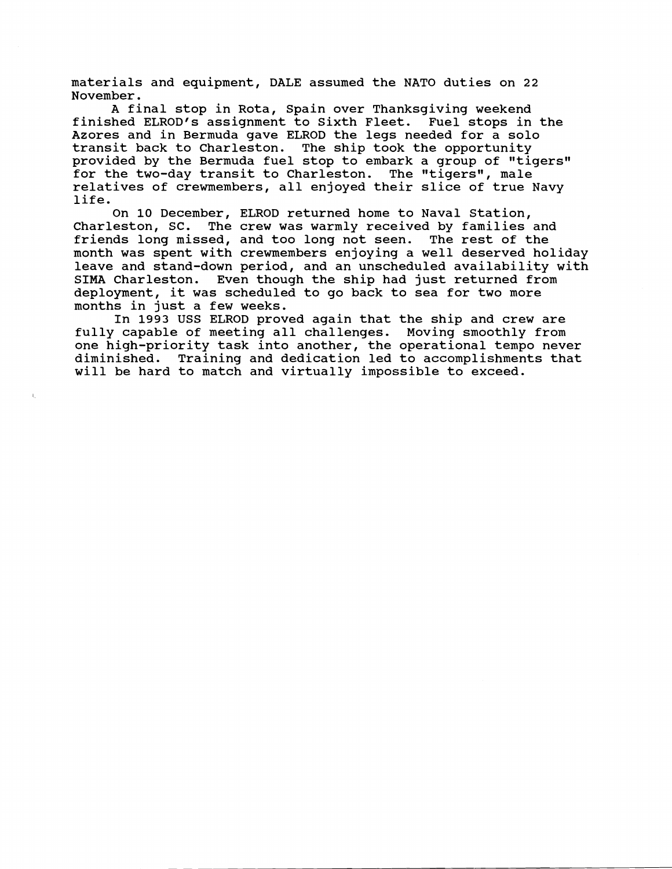materials and equipment, DALE assumed the NATO duties on 22 November.

A final stop in Rota, Spain over Thanksgiving weekend finished ELROD'S assignment to Sixth Fleet. Fuel stops in the Azores and in Bermuda gave ELROD the legs needed for a solo transit back to Charleston. The ship took the opportunity provided by the Bermuda fuel stop to embark a group of "tigers" for the two-day transit to Charleston. The "tigers", male relatives of crewmembers, all enjoyed their slice of true Navy life.

On 10 December, ELROD returned home to Naval Station, Charleston, SC. The crew was warmly received by families and friends long missed, and too long not seen. The rest of the month was spent with crewmembers enjoying a well deserved holiday leave and stand-down period, and an unscheduled availability with<br>SIMA Charleston. Even though the ship had just returned from Even though the ship had just returned from deployment, it was scheduled to go back to sea for two more months in just a few weeks.

In 1993 USS ELROD proved again that the ship and crew are fully capable of meeting all challenges. Moving smoothly from one high-priority task into another, the operational tempo never diminished. Training and dedication led to accomplishments that will be hard to match and virtually impossible to exceed.